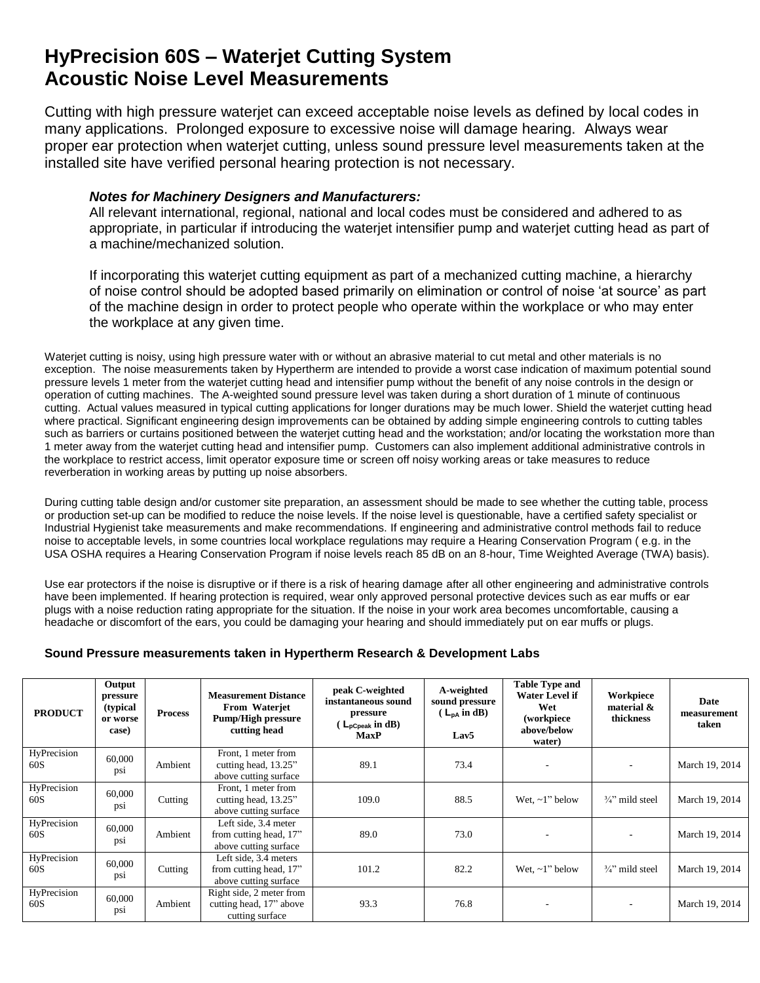## **HyPrecision 60S – Waterjet Cutting System Acoustic Noise Level Measurements**

Cutting with high pressure waterjet can exceed acceptable noise levels as defined by local codes in many applications. Prolonged exposure to excessive noise will damage hearing. Always wear proper ear protection when waterjet cutting, unless sound pressure level measurements taken at the installed site have verified personal hearing protection is not necessary.

## *Notes for Machinery Designers and Manufacturers:*

All relevant international, regional, national and local codes must be considered and adhered to as appropriate, in particular if introducing the waterjet intensifier pump and waterjet cutting head as part of a machine/mechanized solution.

If incorporating this waterjet cutting equipment as part of a mechanized cutting machine, a hierarchy of noise control should be adopted based primarily on elimination or control of noise 'at source' as part of the machine design in order to protect people who operate within the workplace or who may enter the workplace at any given time.

Waterjet cutting is noisy, using high pressure water with or without an abrasive material to cut metal and other materials is no exception. The noise measurements taken by Hypertherm are intended to provide a worst case indication of maximum potential sound pressure levels 1 meter from the waterjet cutting head and intensifier pump without the benefit of any noise controls in the design or operation of cutting machines. The A-weighted sound pressure level was taken during a short duration of 1 minute of continuous cutting. Actual values measured in typical cutting applications for longer durations may be much lower. Shield the waterjet cutting head where practical. Significant engineering design improvements can be obtained by adding simple engineering controls to cutting tables such as barriers or curtains positioned between the waterjet cutting head and the workstation; and/or locating the workstation more than 1 meter away from the waterjet cutting head and intensifier pump. Customers can also implement additional administrative controls in the workplace to restrict access, limit operator exposure time or screen off noisy working areas or take measures to reduce reverberation in working areas by putting up noise absorbers.

During cutting table design and/or customer site preparation, an assessment should be made to see whether the cutting table, process or production set-up can be modified to reduce the noise levels. If the noise level is questionable, have a certified safety specialist or Industrial Hygienist take measurements and make recommendations. If engineering and administrative control methods fail to reduce noise to acceptable levels, in some countries local workplace regulations may require a Hearing Conservation Program ( e.g. in the USA OSHA requires a Hearing Conservation Program if noise levels reach 85 dB on an 8-hour, Time Weighted Average (TWA) basis).

Use ear protectors if the noise is disruptive or if there is a risk of hearing damage after all other engineering and administrative controls have been implemented. If hearing protection is required, wear only approved personal protective devices such as ear muffs or ear plugs with a noise reduction rating appropriate for the situation. If the noise in your work area becomes uncomfortable, causing a headache or discomfort of the ears, you could be damaging your hearing and should immediately put on ear muffs or plugs.

## **Sound Pressure measurements taken in Hypertherm Research & Development Labs**

| <b>PRODUCT</b>     | Output<br>pressure<br>(typical<br>or worse<br>case) | <b>Process</b> | <b>Measurement Distance</b><br>From Waterjet<br><b>Pump/High pressure</b><br>cutting head | peak C-weighted<br>instantaneous sound<br>pressure<br>$\mathsf{L}_{\mathsf{pCpeak}}$ in dB)<br><b>MaxP</b> | A-weighted<br>sound pressure<br>$(L_{DA} \text{ in dB})$<br>Lav5 | <b>Table Type and</b><br><b>Water Level if</b><br>Wet<br>(workpiece<br>above/below<br>water) | Workpiece<br>material &<br>thickness | Date<br>measurement<br>taken |
|--------------------|-----------------------------------------------------|----------------|-------------------------------------------------------------------------------------------|------------------------------------------------------------------------------------------------------------|------------------------------------------------------------------|----------------------------------------------------------------------------------------------|--------------------------------------|------------------------------|
| HyPrecision<br>60S | 60,000<br>psi                                       | Ambient        | Front, 1 meter from<br>cutting head, 13.25"<br>above cutting surface                      | 89.1                                                                                                       | 73.4                                                             |                                                                                              |                                      | March 19, 2014               |
| HyPrecision<br>60S | 60,000<br>psi                                       | Cutting        | Front, 1 meter from<br>cutting head, 13.25"<br>above cutting surface                      | 109.0                                                                                                      | 88.5                                                             | Wet. $\sim$ 1" below                                                                         | $\frac{3}{4}$ " mild steel           | March 19, 2014               |
| HyPrecision<br>60S | 60,000<br>psi                                       | Ambient        | Left side, 3.4 meter<br>from cutting head, 17"<br>above cutting surface                   | 89.0                                                                                                       | 73.0                                                             |                                                                                              |                                      | March 19, 2014               |
| HyPrecision<br>60S | 60,000<br>psi                                       | Cutting        | Left side, 3.4 meters<br>from cutting head, 17"<br>above cutting surface                  | 101.2                                                                                                      | 82.2                                                             | Wet, $\sim$ 1" below                                                                         | $\frac{3}{4}$ " mild steel           | March 19, 2014               |
| HyPrecision<br>60S | 60,000<br>psi                                       | Ambient        | Right side, 2 meter from<br>cutting head, 17" above<br>cutting surface                    | 93.3                                                                                                       | 76.8                                                             |                                                                                              |                                      | March 19, 2014               |